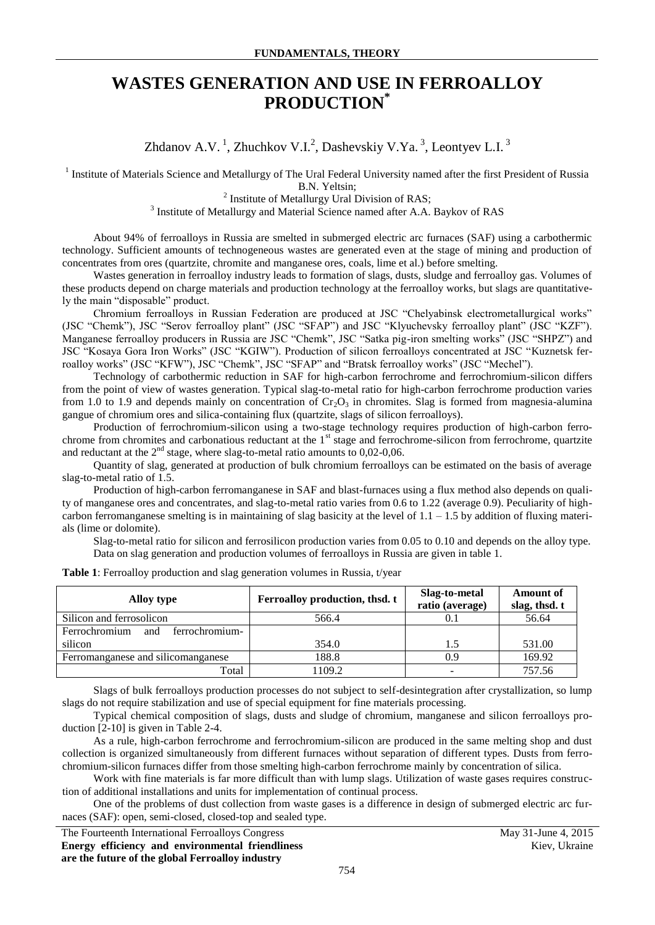## **WASTES GENERATION AND USE IN FERROALLOY PRODUCTION\***

Zhdanov A.V.<sup>1</sup>, Zhuchkov V.I.<sup>2</sup>, Dashevskiy V.Ya.<sup>3</sup>, Leontyev L.I.<sup>3</sup>

<sup>1</sup> Institute of Materials Science and Metallurgy of The Ural Federal University named after the first President of Russia

B.N. Yeltsin;

<sup>2</sup> Institute of Metallurgy Ural Division of RAS;

<sup>3</sup> Institute of Metallurgy and Material Science named after A.A. Baykov of RAS

About 94% of ferroalloys in Russia are smelted in submerged electric arc furnaces (SAF) using a carbothermic technology. Sufficient amounts of technogeneous wastes are generated even at the stage of mining and production of concentrates from ores (quartzite, chromite and manganese ores, coals, lime et al.) before smelting.

Wastes generation in ferroalloy industry leads to formation of slags, dusts, sludge and ferroalloy gas. Volumes of these products depend on charge materials and production technology at the ferroalloy works, but slags are quantitatively the main "disposable" product.

Chromium ferroalloys in Russian Federation are produced at JSC "Chelyabinsk electrometallurgical works" (JSC "Chemk"), JSC "Serov ferroalloy plant" (JSC "SFAP") and JSC "Klyuchevsky ferroalloy plant" (JSC "KZF"). Manganese ferroalloy producers in Russia are JSC "Chemk", JSC "Satka pig-iron smelting works" (JSC "SHPZ") and JSC "Kosaya Gora Iron Works" (JSC "KGIW"). Production of silicon ferroalloys concentrated at JSC "Kuznetsk ferroalloy works" (JSC "KFW"), JSC "Chemk", JSC "SFAP" and "Bratsk ferroalloy works" (JSC "Mechel").

Technology of carbothermic reduction in SAF for high-carbon ferrochrome and ferrochromium-silicon differs from the point of view of wastes generation. Typical slag-to-metal ratio for high-carbon ferrochrome production varies from 1.0 to 1.9 and depends mainly on concentration of  $Cr_2O_3$  in chromites. Slag is formed from magnesia-alumina gangue of chromium ores and silica-containing flux (quartzite, slags of silicon ferroalloys).

Production of ferrochromium-silicon using a two-stage technology requires production of high-carbon ferrochrome from chromites and carbonatious reductant at the  $1<sup>st</sup>$  stage and ferrochrome-silicon from ferrochrome, quartzite and reductant at the  $2<sup>nd</sup>$  stage, where slag-to-metal ratio amounts to 0,02-0,06.

Quantity of slag, generated at production of bulk chromium ferroalloys can be estimated on the basis of average slag-to-metal ratio of 1.5.

Production of high-carbon ferromanganese in SAF and blast-furnaces using a flux method also depends on quality of manganese ores and concentrates, and slag-to-metal ratio varies from 0.6 to 1.22 (average 0.9). Peculiarity of highcarbon ferromanganese smelting is in maintaining of slag basicity at the level of  $1.1 - 1.5$  by addition of fluxing materials (lime or dolomite).

Slag-to-metal ratio for silicon and ferrosilicon production varies from 0.05 to 0.10 and depends on the alloy type. Data on slag generation and production volumes of ferroalloys in Russia are given in table 1.

| Alloy type                             | Ferroalloy production, thsd. t | Slag-to-metal<br>ratio (average) | <b>Amount of</b><br>slag, thsd. t |
|----------------------------------------|--------------------------------|----------------------------------|-----------------------------------|
| Silicon and ferrosolicon               | 566.4                          |                                  | 56.64                             |
| Ferrochromium<br>ferrochromium-<br>and |                                |                                  |                                   |
| silicon                                | 354.0                          | 1.5                              | 531.00                            |
| Ferromanganese and silicomanganese     | 188.8                          | 0.9                              | 169.92                            |
| Total                                  | 1109.2                         |                                  | 757.56                            |

Table 1: Ferroalloy production and slag generation volumes in Russia, t/year

Slags of bulk ferroalloys production processes do not subject to self-desintegration after crystallization, so lump slags do not require stabilization and use of special equipment for fine materials processing.

Typical chemical composition of slags, dusts and sludge of chromium, manganese and silicon ferroalloys production [2-10] is given in Table 2-4.

As a rule, high-carbon ferrochrome and ferrochromium-silicon are produced in the same melting shop and dust collection is organized simultaneously from different furnaces without separation of different types. Dusts from ferrochromium-silicon furnaces differ from those smelting high-carbon ferrochrome mainly by concentration of silica.

Work with fine materials is far more difficult than with lump slags. Utilization of waste gases requires construction of additional installations and units for implementation of continual process.

One of the problems of dust collection from waste gases is a difference in design of submerged electric arc furnaces (SAF): open, semi-closed, closed-top and sealed type.

The Fourteenth International Ferroalloys Congress May 31-June 4, 2015 **Energy efficiency and environmental friendliness are the future of the global Ferroalloy industry**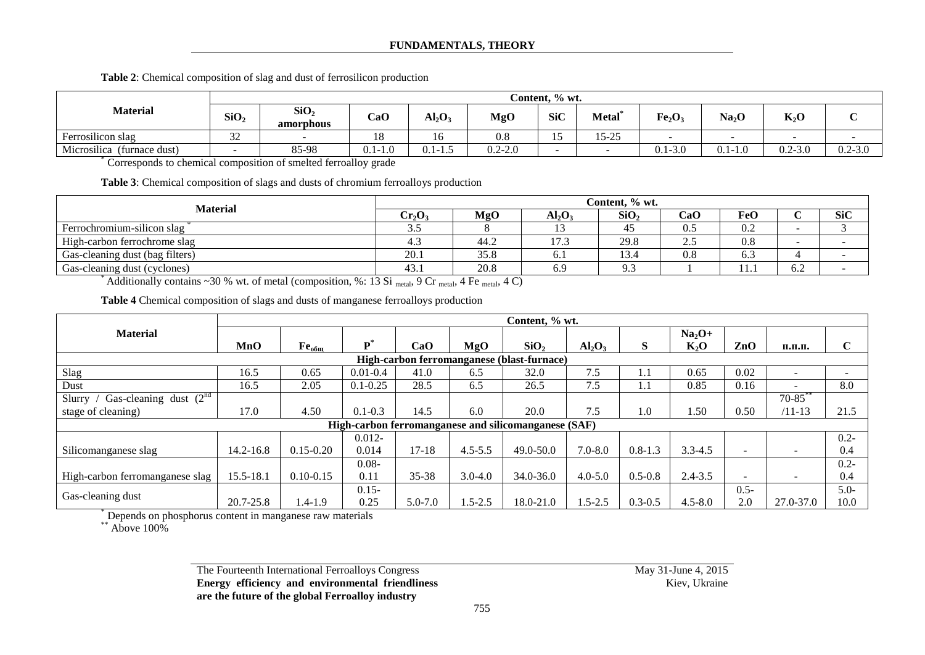## **FUNDAMENTALS, THEORY**

|                               |                  | Content, % wt.                |         |           |             |                  |       |                                |                   |             |             |
|-------------------------------|------------------|-------------------------------|---------|-----------|-------------|------------------|-------|--------------------------------|-------------------|-------------|-------------|
| <b>Material</b>               | SiO <sub>2</sub> | SiO <sub>2</sub><br>amorphous | CaO     | $Al_2O_3$ | <b>MgO</b>  | <b>SiC</b>       | Metal | Fe <sub>2</sub> O <sub>3</sub> | Na <sub>2</sub> O | $K_2O$      |             |
| Ferrosilicon slag             | $\sim$<br>ЭZ     |                               | 18      | 16.       | 0.8         | . <b>.</b><br>⊥ັ | 15-25 |                                |                   |             |             |
| (furnace dust)<br>Microsilica | -                | 85-98                         | 0.1-1.0 | U.I-I.J   | $0.2 - 2.0$ |                  |       | $0.1 - 3.0$                    | $0.1 - 1.0$       | $0.2 - 3.0$ | $0.2 - 3.0$ |

**Table 2**: Chemical composition of slag and dust of ferrosilicon production

\* Corresponds to chemical composition of smelted ferroalloy grade

**Table 3**: Chemical composition of slags and dusts of chromium ferroalloys production

| <b>Material</b>                 | Content, % wt. |      |                        |                     |     |             |     |            |  |  |
|---------------------------------|----------------|------|------------------------|---------------------|-----|-------------|-----|------------|--|--|
|                                 | $Cr_2O_3$      | MgO  | $\mathrm{Al_{2}O_{3}}$ | SiO <sub>2</sub>    | CaO | FeO         |     | <b>SiC</b> |  |  |
| Ferrochromium-silicon slag      | ر. ر           |      |                        | -45                 | 0.5 | 0.2         |     |            |  |  |
| High-carbon ferrochrome slag    | +.J            | 44.2 | 17.3                   | 29.8                | 2.5 | 0.8         |     |            |  |  |
| Gas-cleaning dust (bag filters) | 20.1           | 35.8 | 0.1                    | 13.4                | 0.8 | 0.3         |     |            |  |  |
| Gas-cleaning dust (cyclones)    | 43.1           | 20.8 | 6.9                    | $\mathbf{o}$<br>ر., |     | <b>11.T</b> | 6.2 |            |  |  |

\* Additionally contains ~30 % wt. of metal (composition, %: 13 Si  $_{metal}$ , 9 Cr  $_{metal}$ , 4 Fe  $_{metal}$ , 4 C)

**Table 4** Chemical composition of slags and dusts of manganese ferroalloys production

|                                                   | Content, % wt. |                   |              |             |             |                                                      |                                |             |             |                          |                              |         |
|---------------------------------------------------|----------------|-------------------|--------------|-------------|-------------|------------------------------------------------------|--------------------------------|-------------|-------------|--------------------------|------------------------------|---------|
| <b>Material</b>                                   |                |                   |              |             |             |                                                      |                                |             | $Na2O+$     |                          |                              |         |
|                                                   | MnO            | $Fe_{66\text{m}}$ | D.           | CaO         | MgO         | SiO <sub>2</sub>                                     | Al <sub>2</sub> O <sub>3</sub> | S           | $K_2O$      | ZnO                      | п.п.п.                       |         |
|                                                   |                |                   |              |             |             | High-carbon ferromanganese (blast-furnace)           |                                |             |             |                          |                              |         |
| Slag                                              | 16.5           | 0.65              | $0.01 - 0.4$ | 41.0        | 6.5         | 32.0                                                 | 7.5                            | 1.1         | 0.65        | 0.02                     | $\overline{\phantom{a}}$     |         |
| Dust                                              | 16.5           | 2.05              | $0.1 - 0.25$ | 28.5        | 6.5         | 26.5                                                 | 7.5                            | 1.1         | 0.85        | 0.16                     | $\overline{\phantom{0}}$     | 8.0     |
| Gas-cleaning dust $(2^{\overline{nd}})$<br>Slurry |                |                   |              |             |             |                                                      |                                |             |             |                          | $70 - 85$ **                 |         |
| stage of cleaning)                                | 17.0           | 4.50              | $0.1 - 0.3$  | 14.5        | 6.0         | 20.0                                                 | 7.5                            | 1.0         | 1.50        | 0.50                     | $/11 - 13$                   | 21.5    |
|                                                   |                |                   |              |             |             | High-carbon ferromanganese and silicomanganese (SAF) |                                |             |             |                          |                              |         |
|                                                   |                |                   | $0.012 -$    |             |             |                                                      |                                |             |             |                          |                              | $0.2 -$ |
| Silicomanganese slag                              | $14.2 - 16.8$  | $0.15 - 0.20$     | 0.014        | $17-18$     | $4.5 - 5.5$ | $49.0 - 50.0$                                        | $7.0 - 8.0$                    | $0.8 - 1.3$ | $3.3 - 4.5$ | $\overline{\phantom{0}}$ | $\qquad \qquad \blacksquare$ | 0.4     |
|                                                   |                |                   | $0.08 -$     |             |             |                                                      |                                |             |             |                          |                              | $0.2 -$ |
| High-carbon ferromanganese slag                   | 15.5-18.1      | $0.10 - 0.15$     | 0.11         | $35 - 38$   | $3.0 - 4.0$ | 34.0-36.0                                            | $4.0 - 5.0$                    | $0.5 - 0.8$ | $2.4 - 3.5$ | -                        | -                            | 0.4     |
| Gas-cleaning dust                                 |                |                   | $0.15 -$     |             |             |                                                      |                                |             |             | $0.5 -$                  |                              | $5.0-$  |
|                                                   | 20.7-25.8      | 1.4-1.9           | 0.25         | $5.0 - 7.0$ | $.5 - 2.5$  | 18.0-21.0                                            | $1.5 - 2.5$                    | $0.3 - 0.5$ | $4.5 - 8.0$ | 2.0                      | 27.0-37.0                    | 10.0    |

\* Depends on phosphorus content in manganese raw materials

 $*$ \* Above 100%

Kiev, Ukraine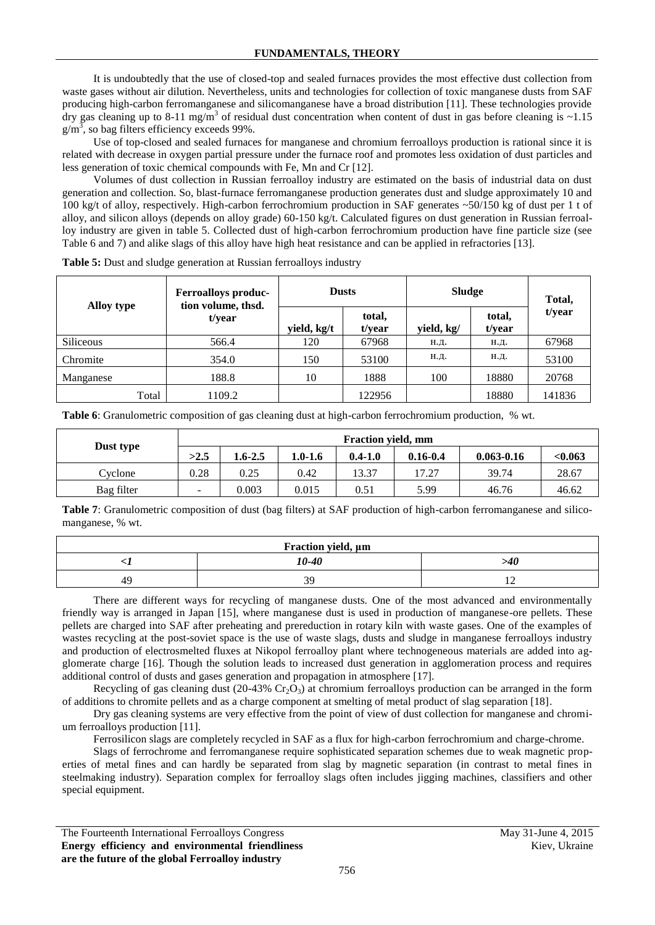It is undoubtedly that the use of closed-top and sealed furnaces provides the most effective dust collection from waste gases without air dilution. Nevertheless, units and technologies for collection of toxic manganese dusts from SAF producing high-carbon ferromanganese and silicomanganese have a broad distribution [11]. These technologies provide dry gas cleaning up to 8-11 mg/m<sup>3</sup> of residual dust concentration when content of dust in gas before cleaning is ~1.15  $g/m^3$ , so bag filters efficiency exceeds 99%.

Use of top-closed and sealed furnaces for manganese and chromium ferroalloys production is rational since it is related with decrease in oxygen partial pressure under the furnace roof and promotes less oxidation of dust particles and less generation of toxic chemical compounds with Fe, Mn and Cr [12].

Volumes of dust collection in Russian ferroalloy industry are estimated on the basis of industrial data on dust generation and collection. So, blast-furnace ferromanganese production generates dust and sludge approximately 10 and 100 kg/t of alloy, respectively. High-carbon ferrochromium production in SAF generates ~50/150 kg of dust per 1 t of alloy, and silicon alloys (depends on alloy grade) 60-150 kg/t. Calculated figures on dust generation in Russian ferroalloy industry are given in table 5. Collected dust of high-carbon ferrochromium production have fine particle size (see Table 6 and 7) and alike slags of this alloy have high heat resistance and can be applied in refractories [13].

|                  | <b>Ferroalloys produc-</b><br>tion volume, thsd.<br>Alloy type |             | <b>Dusts</b>     | Sludge     | Total,           |        |
|------------------|----------------------------------------------------------------|-------------|------------------|------------|------------------|--------|
|                  | t/year                                                         | yield, kg/t | total,<br>t/year | yield, kg/ | total,<br>t/year | t/year |
| <b>Siliceous</b> | 566.4                                                          | 120         | 67968            | Н.Д.       | н.д.             | 67968  |
| Chromite         | 354.0                                                          | 150         | 53100            | Н.Д.       | Н.Д.             | 53100  |
| Manganese        | 188.8                                                          | 10          | 1888             | 100        | 18880            | 20768  |
| Total            | 1109.2                                                         |             | 122956           |            | 18880            | 141836 |

**Table 5:** Dust and sludge generation at Russian ferroalloys industry

**Table 6**: Granulometric composition of gas cleaning dust at high-carbon ferrochromium production, % wt.

|            | <b>Fraction vield, mm</b> |             |             |             |              |                |         |  |  |
|------------|---------------------------|-------------|-------------|-------------|--------------|----------------|---------|--|--|
| Dust type  | >2.5                      | $1.6 - 2.5$ | $1.0 - 1.6$ | $0.4 - 1.0$ | $0.16 - 0.4$ | $0.063 - 0.16$ | < 0.063 |  |  |
| Cvclone    | 0.28                      | 0.25        | 0.42        | 13.37       | 17.27        | 39.74          | 28.67   |  |  |
| Bag filter | $\overline{\phantom{a}}$  | 0.003       | 0.015       | 0.51        | 5.99         | 46.76          | 46.62   |  |  |

**Table 7**: Granulometric composition of dust (bag filters) at SAF production of high-carbon ferromanganese and silicomanganese, % wt.

| Fraction yield, µm |       |     |  |  |  |
|--------------------|-------|-----|--|--|--|
|                    | 10-40 | >40 |  |  |  |
| 4∪                 | 20    |     |  |  |  |

There are different ways for recycling of manganese dusts. One of the most advanced and environmentally friendly way is arranged in Japan [15], where manganese dust is used in production of manganese-ore pellets. These pellets are charged into SAF after preheating and prereduction in rotary kiln with waste gases. One of the examples of wastes recycling at the post-soviet space is the use of waste slags, dusts and sludge in manganese ferroalloys industry and production of electrosmelted fluxes at Nikopol ferroalloy plant where technogeneous materials are added into agglomerate charge [16]. Though the solution leads to increased dust generation in agglomeration process and requires additional control of dusts and gases generation and propagation in atmosphere [17].

Recycling of gas cleaning dust (20-43%  $Cr_2O_3$ ) at chromium ferroalloys production can be arranged in the form of additions to chromite pellets and as a charge component at smelting of metal product of slag separation [18].

Dry gas cleaning systems are very effective from the point of view of dust collection for manganese and chromium ferroalloys production [11].

Ferrosilicon slags are completely recycled in SAF as a flux for high-carbon ferrochromium and charge-chrome.

Slags of ferrochrome and ferromanganese require sophisticated separation schemes due to weak magnetic properties of metal fines and can hardly be separated from slag by magnetic separation (in contrast to metal fines in steelmaking industry). Separation complex for ferroalloy slags often includes jigging machines, classifiers and other special equipment.

The Fourteenth International Ferroalloys Congress May 31-June 4, 2015 **Energy efficiency and environmental friendliness are the future of the global Ferroalloy industry**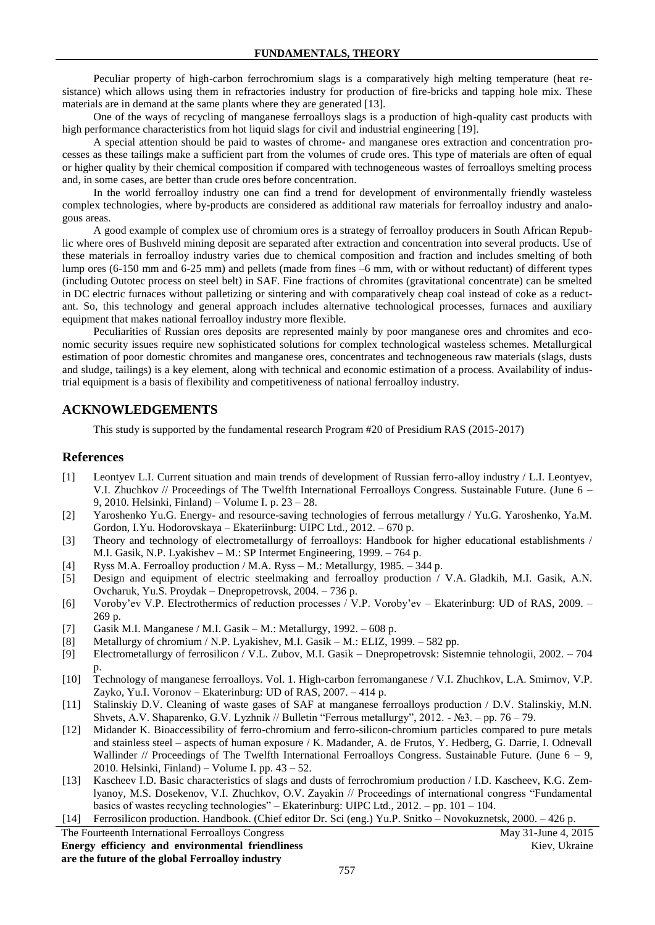Peculiar property of high-carbon ferrochromium slags is a comparatively high melting temperature (heat resistance) which allows using them in refractories industry for production of fire-bricks and tapping hole mix. These materials are in demand at the same plants where they are generated [13].

One of the ways of recycling of manganese ferroalloys slags is a production of high-quality cast products with high performance characteristics from hot liquid slags for civil and industrial engineering [19].

A special attention should be paid to wastes of chrome- and manganese ores extraction and concentration processes as these tailings make a sufficient part from the volumes of crude ores. This type of materials are often of equal or higher quality by their chemical composition if compared with technogeneous wastes of ferroalloys smelting process and, in some cases, are better than crude ores before concentration.

In the world ferroalloy industry one can find a trend for development of environmentally friendly wasteless complex technologies, where by-products are considered as additional raw materials for ferroalloy industry and analogous areas.

A good example of complex use of chromium ores is a strategy of ferroalloy producers in South African Republic where ores of Bushveld mining deposit are separated after extraction and concentration into several products. Use of these materials in ferroalloy industry varies due to chemical composition and fraction and includes smelting of both lump ores (6-150 mm and 6-25 mm) and pellets (made from fines –6 mm, with or without reductant) of different types (including Outotec process on steel belt) in SAF. Fine fractions of chromites (gravitational concentrate) can be smelted in DC electric furnaces without palletizing or sintering and with comparatively cheap coal instead of coke as a reductant. So, this technology and general approach includes alternative technological processes, furnaces and auxiliary equipment that makes national ferroalloy industry more flexible.

Peculiarities of Russian ores deposits are represented mainly by poor manganese ores and chromites and economic security issues require new sophisticated solutions for complex technological wasteless schemes. Metallurgical estimation of poor domestic chromites and manganese ores, concentrates and technogeneous raw materials (slags, dusts and sludge, tailings) is a key element, along with technical and economic estimation of a process. Availability of industrial equipment is a basis of flexibility and competitiveness of national ferroalloy industry.

## **ACKNOWLEDGEMENTS**

This study is supported by the fundamental research Program #20 of Presidium RAS (2015-2017)

## **References**

- [1] Leontyev L.I. Current situation and main trends of development of Russian ferro-alloy industry / L.I. Leontyev, V.I. Zhuchkov // Proceedings of The Twelfth International Ferroalloys Congress. Sustainable Future. (June 6 – 9, 2010. Helsinki, Finland) – Volume I. p. 23 – 28.
- [2] Yaroshenko Yu.G. Energy- and resource-saving technologies of ferrous metallurgy / Yu.G. Yaroshenko, Ya.M. Gordon, I.Yu. Hodorovskaya – Ekateriinburg: UIPC Ltd., 2012. – 670 p.
- [3] Theory and technology of electrometallurgy of ferroalloys: Handbook for higher educational establishments / M.I. Gasik, N.P. Lyakishev – M.: SP Intermet Engineering, 1999. – 764 p.
- [4] Ryss M.A. Ferroalloy production / M.A. Ryss M.: Metallurgy, 1985. 344 p.
- [5] Design and equipment of electric steelmaking and ferroalloy production / V.A. Gladkih, M.I. Gasik, A.N. Ovcharuk, Yu.S. Proydak – Dnepropetrovsk, 2004. – 736 p.
- [6] Voroby'ev V.P. Electrothermics of reduction processes / V.P. Voroby'ev Ekaterinburg: UD of RAS, 2009. 269 p.
- [7] Gasik M.I. Manganese / M.I. Gasik M.: Metallurgy, 1992. 608 p.
- [8] Metallurgy of chromium / N.P. Lyakishev, M.I. Gasik M.: ELIZ, 1999. 582 pp.
- [9] Electrometallurgy of ferrosilicon / V.L. Zubov, M.I. Gasik Dnepropetrovsk: Sistemnie tehnologii, 2002. 704 p.
- [10] Technology of manganese ferroalloys. Vol. 1. High-carbon ferromanganese / V.I. Zhuchkov, L.A. Smirnov, V.P. Zayko, Yu.I. Voronov – Ekaterinburg: UD of RAS, 2007. – 414 p.
- [11] Stalinskiy D.V. Cleaning of waste gases of SAF at manganese ferroalloys production / D.V. Stalinskiy, M.N. Shvets, A.V. Shaparenko, G.V. Lyzhnik // Bulletin "Ferrous metallurgy", 2012. - №3. – pp. 76 – 79.
- [12] Midander K. Bioaccessibility of ferro-chromium and ferro-silicon-chromium particles compared to pure metals and stainless steel – aspects of human exposure / K. Madander, A. de Frutos, Y. Hedberg, G. Darrie, I. Odnevall Wallinder // Proceedings of The Twelfth International Ferroalloys Congress. Sustainable Future. (June  $6 - 9$ , 2010. Helsinki, Finland) – Volume I. pp.  $43 - 52$ .
- [13] Kascheev I.D. Basic characteristics of slags and dusts of ferrochromium production / I.D. Kascheev, K.G. Zemlyanoy, M.S. Dosekenov, V.I. Zhuchkov, O.V. Zayakin // Proceedings of international congress "Fundamental basics of wastes recycling technologies" – Ekaterinburg: UIPC Ltd., 2012. – pp. 101 – 104.
- [14] Ferrosilicon production. Handbook. (Chief editor Dr. Sci (eng.) Yu.P. Snitko Novokuznetsk, 2000. 426 p.

The Fourteenth International Ferroalloys Congress May 31-June 4, 2015 **Energy efficiency and environmental friendliness are the future of the global Ferroalloy industry**